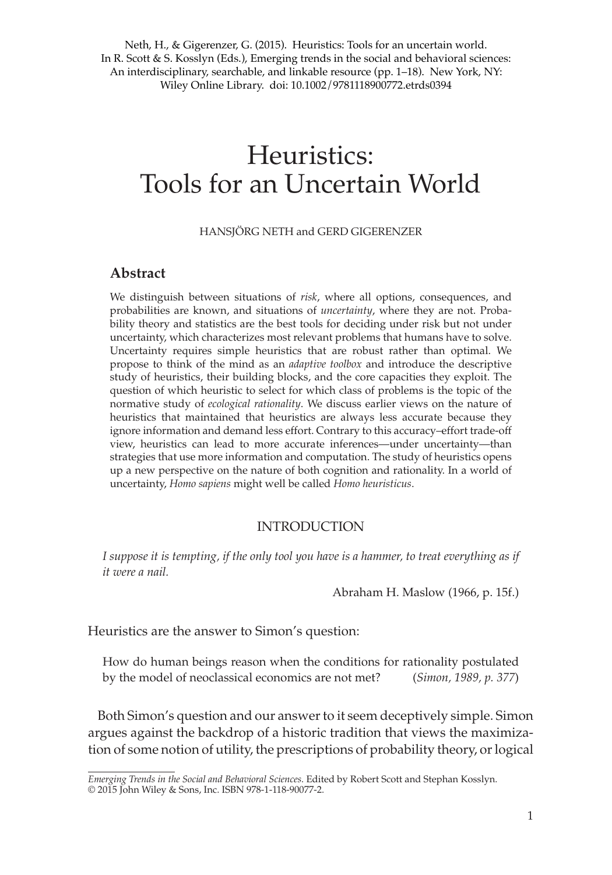Neth, H., & Gigerenzer, G. (2015). Heuristics: Tools for an uncertain world. In R. Scott & S. Kosslyn (Eds.), Emerging trends in the social and behavioral sciences: An interdisciplinary, searchable, and linkable resource (pp. 1–18). New York, NY: Wiley Online Library. doi: 10.1002/9781118900772.etrds0394

# Heuristics: Tools for an Uncertain World

#### HANSJÖRG NETH and GERD GIGERENZER

# **Abstract**

We distinguish between situations of *risk*, where all options, consequences, and probabilities are known, and situations of *uncertainty*, where they are not. Probability theory and statistics are the best tools for deciding under risk but not under uncertainty, which characterizes most relevant problems that humans have to solve. Uncertainty requires simple heuristics that are robust rather than optimal. We propose to think of the mind as an *adaptive toolbox* and introduce the descriptive study of heuristics, their building blocks, and the core capacities they exploit. The question of which heuristic to select for which class of problems is the topic of the normative study of *ecological rationality*. We discuss earlier views on the nature of heuristics that maintained that heuristics are always less accurate because they ignore information and demand less effort. Contrary to this accuracy–effort trade-off view, heuristics can lead to more accurate inferences—under uncertainty—than strategies that use more information and computation. The study of heuristics opens up a new perspective on the nature of both cognition and rationality. In a world of uncertainty, *Homo sapiens* might well be called *Homo heuristicus*.

## INTRODUCTION

*I suppose it is tempting, if the only tool you have is a hammer, to treat everything as if it were a nail.*

Abraham H. Maslow (1966, p. 15f.)

Heuristics are the answer to Simon's question:

How do human beings reason when the conditions for rationality postulated by the model of neoclassical economics are not met? (*Simon, 1989, p. 377*)

Both Simon's question and our answer to it seem deceptively simple. Simon argues against the backdrop of a historic tradition that views the maximization of some notion of utility, the prescriptions of probability theory, or logical

*Emerging Trends in the Social and Behavioral Sciences*. Edited by Robert Scott and Stephan Kosslyn. © 2015 John Wiley & Sons, Inc. ISBN 978-1-118-90077-2.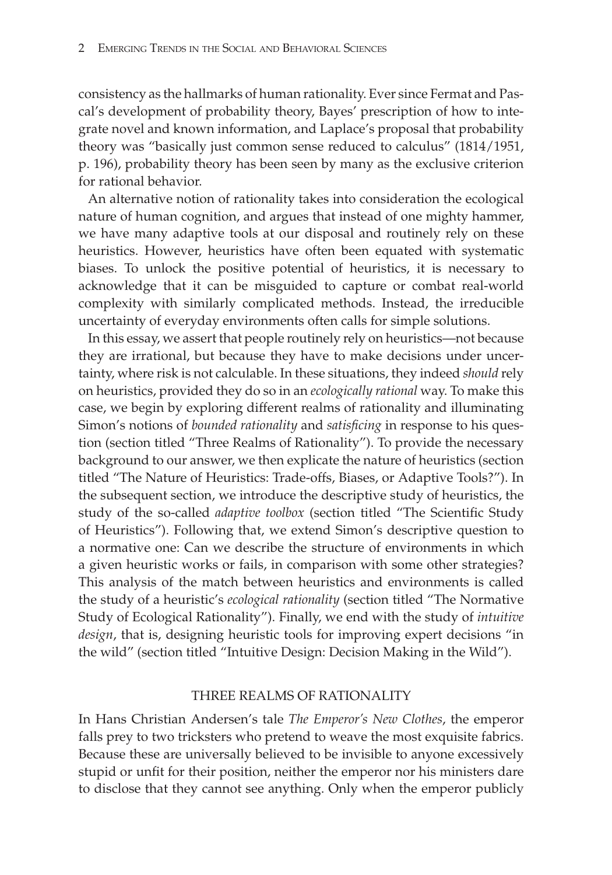consistency as the hallmarks of human rationality. Ever since Fermat and Pascal's development of probability theory, Bayes' prescription of how to integrate novel and known information, and Laplace's proposal that probability theory was "basically just common sense reduced to calculus" (1814/1951, p. 196), probability theory has been seen by many as the exclusive criterion for rational behavior.

An alternative notion of rationality takes into consideration the ecological nature of human cognition, and argues that instead of one mighty hammer, we have many adaptive tools at our disposal and routinely rely on these heuristics. However, heuristics have often been equated with systematic biases. To unlock the positive potential of heuristics, it is necessary to acknowledge that it can be misguided to capture or combat real-world complexity with similarly complicated methods. Instead, the irreducible uncertainty of everyday environments often calls for simple solutions.

In this essay, we assert that people routinely rely on heuristics—not because they are irrational, but because they have to make decisions under uncertainty, where risk is not calculable. In these situations, they indeed *should* rely on heuristics, provided they do so in an *ecologically rational* way. To make this case, we begin by exploring different realms of rationality and illuminating Simon's notions of *bounded rationality* and *satisfcing* in response to his question (section titled "Three Realms of Rationality"). To provide the necessary background to our answer, we then explicate the nature of heuristics (section titled "The Nature of Heuristics: Trade-offs, Biases, or Adaptive Tools?"). In the subsequent section, we introduce the descriptive study of heuristics, the study of the so-called *adaptive toolbox* (section titled "The Scientific Study of Heuristics"). Following that, we extend Simon's descriptive question to a normative one: Can we describe the structure of environments in which a given heuristic works or fails, in comparison with some other strategies? This analysis of the match between heuristics and environments is called the study of a heuristic's *ecological rationality* (section titled "The Normative Study of Ecological Rationality"). Finally, we end with the study of *intuitive design*, that is, designing heuristic tools for improving expert decisions "in the wild" (section titled "Intuitive Design: Decision Making in the Wild").

### THREE REALMS OF RATIONALITY

In Hans Christian Andersen's tale *The Emperor's New Clothes*, the emperor falls prey to two tricksters who pretend to weave the most exquisite fabrics. Because these are universally believed to be invisible to anyone excessively stupid or unfit for their position, neither the emperor nor his ministers dare to disclose that they cannot see anything. Only when the emperor publicly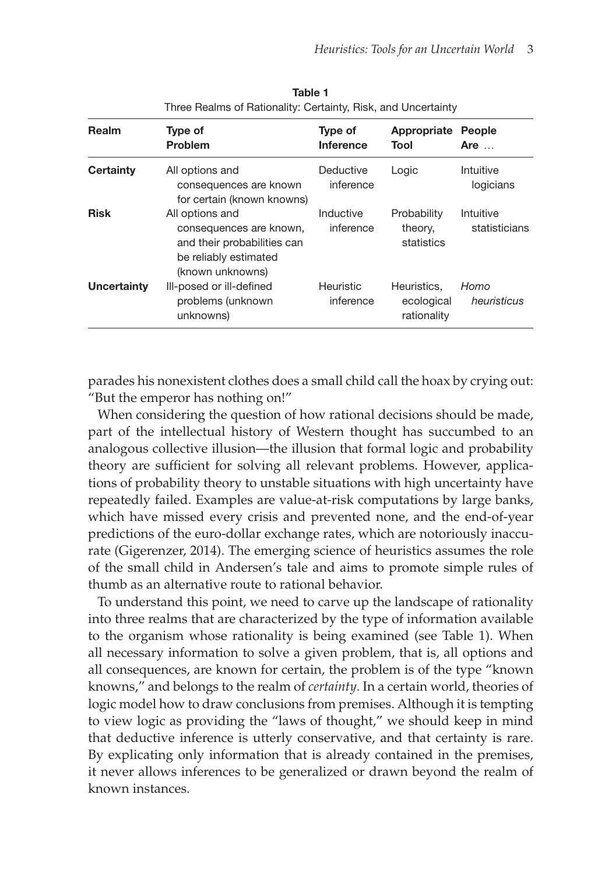| Realm            | Type of<br><b>Problem</b>                                                                                              | Type of<br><b>Inference</b> | Appropriate<br>Tool                      | People<br>Are $\dots$      |
|------------------|------------------------------------------------------------------------------------------------------------------------|-----------------------------|------------------------------------------|----------------------------|
| <b>Certainty</b> | All options and<br>consequences are known<br>for certain (known knowns)                                                | Deductive<br>inference      | Logic                                    | Intuitive<br>logicians     |
| <b>Risk</b>      | All options and<br>consequences are known,<br>and their probabilities can<br>be reliably estimated<br>(known unknowns) | Inductive<br>inference      | Probability<br>theory,<br>statistics     | Intuitive<br>statisticians |
| Uncertainty      | III-posed or iII-defined<br>problems (unknown<br>unknowns)                                                             | Heuristic<br>inference      | Heuristics.<br>ecological<br>rationality | Homo<br>heuristicus        |

Table 1 Three Realms of Rationality: Certainty, Risk, and Uncertainty

parades his nonexistent clothes does a small child call the hoax by crying out: "But the emperor has nothing on!"

When considering the question of how rational decisions should be made, part of the intellectual history of Western thought has succumbed to an analogous collective illusion—the illusion that formal logic and probability theory are sufficient for solving all relevant problems. However, applications of probability theory to unstable situations with high uncertainty have repeatedly failed. Examples are value-at-risk computations by large banks, which have missed every crisis and prevented none, and the end-of-year predictions of the euro-dollar exchange rates, which are notoriously inaccurate (Gigerenzer, 2014). The emerging science of heuristics assumes the role of the small child in Andersen's tale and aims to promote simple rules of thumb as an alternative route to rational behavior.

To understand this point, we need to carve up the landscape of rationality into three realms that are characterized by the type of information available to the organism whose rationality is being examined (see Table 1). When all necessary information to solve a given problem, that is, all options and all consequences, are known for certain, the problem is of the type "known knowns," and belongs to the realm of *certainty*. In a certain world, theories of logic model how to draw conclusions from premises. Although it is tempting to view logic as providing the "laws of thought," we should keep in mind that deductive inference is utterly conservative, and that certainty is rare. By explicating only information that is already contained in the premises, it never allows inferences to be generalized or drawn beyond the realm of known instances.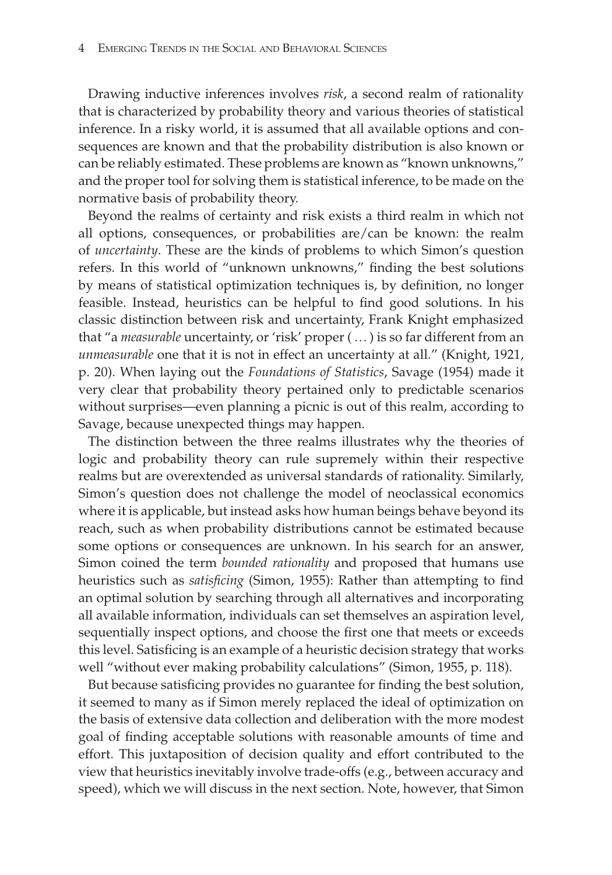Drawing inductive inferences involves *risk*, a second realm of rationality that is characterized by probability theory and various theories of statistical inference. In a risky world, it is assumed that all available options and consequences are known and that the probability distribution is also known or can be reliably estimated. These problems are known as "known unknowns," and the proper tool for solving them is statistical inference, to be made on the normative basis of probability theory.

Beyond the realms of certainty and risk exists a third realm in which not all options, consequences, or probabilities are/can be known: the realm of *uncertainty*. These are the kinds of problems to which Simon's question refers. In this world of "unknown unknowns," fnding the best solutions by means of statistical optimization techniques is, by defnition, no longer feasible. Instead, heuristics can be helpful to find good solutions. In his classic distinction between risk and uncertainty, Frank Knight emphasized that "a *measurable* uncertainty, or 'risk' proper (… ) is so far different from an *unmeasurable* one that it is not in effect an uncertainty at all." (Knight, 1921, p. 20). When laying out the *Foundations of Statistics*, Savage (1954) made it very clear that probability theory pertained only to predictable scenarios without surprises—even planning a picnic is out of this realm, according to Savage, because unexpected things may happen.

The distinction between the three realms illustrates why the theories of logic and probability theory can rule supremely within their respective realms but are overextended as universal standards of rationality. Similarly, Simon's question does not challenge the model of neoclassical economics where it is applicable, but instead asks how human beings behave beyond its reach, such as when probability distributions cannot be estimated because some options or consequences are unknown. In his search for an answer, Simon coined the term *bounded rationality* and proposed that humans use heuristics such as *satisfcing* (Simon, 1955): Rather than attempting to fnd an optimal solution by searching through all alternatives and incorporating all available information, individuals can set themselves an aspiration level, sequentially inspect options, and choose the first one that meets or exceeds this level. Satisficing is an example of a heuristic decision strategy that works well "without ever making probability calculations" (Simon, 1955, p. 118).

But because satisficing provides no guarantee for finding the best solution, it seemed to many as if Simon merely replaced the ideal of optimization on the basis of extensive data collection and deliberation with the more modest goal of fnding acceptable solutions with reasonable amounts of time and effort. This juxtaposition of decision quality and effort contributed to the view that heuristics inevitably involve trade-offs (e.g., between accuracy and speed), which we will discuss in the next section. Note, however, that Simon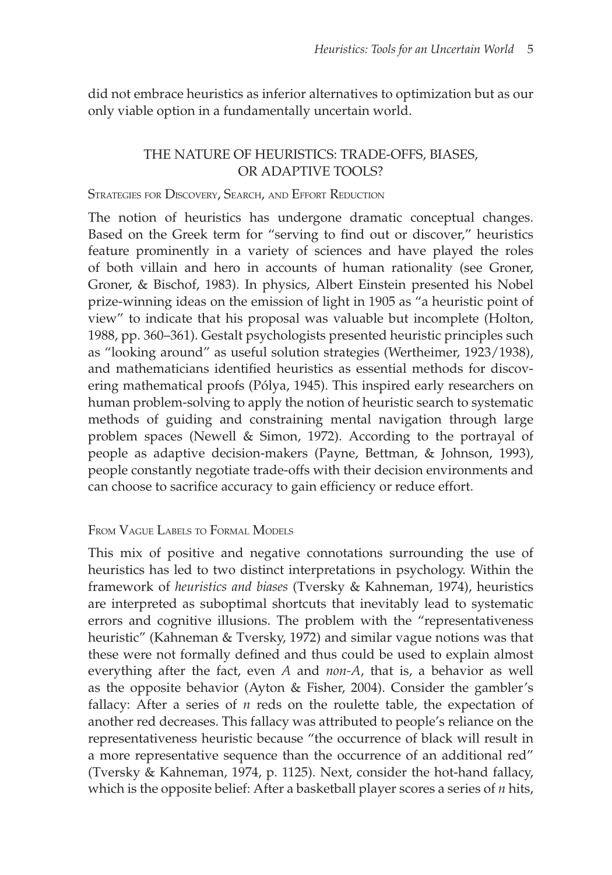did not embrace heuristics as inferior alternatives to optimization but as our only viable option in a fundamentally uncertain world.

# THE NATURE OF HEURISTICS: TRADE-OFFS, BIASES, OR ADAPTIVE TOOLS?

### STRATEGIES FOR DISCOVERY, SEARCH, AND EFFORT REDUCTION

The notion of heuristics has undergone dramatic conceptual changes. Based on the Greek term for "serving to find out or discover," heuristics feature prominently in a variety of sciences and have played the roles of both villain and hero in accounts of human rationality (see Groner, Groner, & Bischof, 1983). In physics, Albert Einstein presented his Nobel prize-winning ideas on the emission of light in 1905 as "a heuristic point of view" to indicate that his proposal was valuable but incomplete (Holton, 1988, pp. 360–361). Gestalt psychologists presented heuristic principles such as "looking around" as useful solution strategies (Wertheimer, 1923/1938), and mathematicians identifed heuristics as essential methods for discovering mathematical proofs (Pólya, 1945). This inspired early researchers on human problem-solving to apply the notion of heuristic search to systematic methods of guiding and constraining mental navigation through large problem spaces (Newell & Simon, 1972). According to the portrayal of people as adaptive decision-makers (Payne, Bettman, & Johnson, 1993), people constantly negotiate trade-offs with their decision environments and can choose to sacrifice accuracy to gain efficiency or reduce effort.

## FROM VAGUE LABELS TO FORMAL MODELS

This mix of positive and negative connotations surrounding the use of heuristics has led to two distinct interpretations in psychology. Within the framework of *heuristics and biases* (Tversky & Kahneman, 1974), heuristics are interpreted as suboptimal shortcuts that inevitably lead to systematic errors and cognitive illusions. The problem with the "representativeness heuristic" (Kahneman & Tversky, 1972) and similar vague notions was that these were not formally defined and thus could be used to explain almost everything after the fact, even *A* and *non-A*, that is, a behavior as well as the opposite behavior (Ayton & Fisher, 2004). Consider the gambler's fallacy: After a series of *n* reds on the roulette table, the expectation of another red decreases. This fallacy was attributed to people's reliance on the representativeness heuristic because "the occurrence of black will result in a more representative sequence than the occurrence of an additional red" (Tversky & Kahneman, 1974, p. 1125). Next, consider the hot-hand fallacy, which is the opposite belief: After a basketball player scores a series of *n* hits,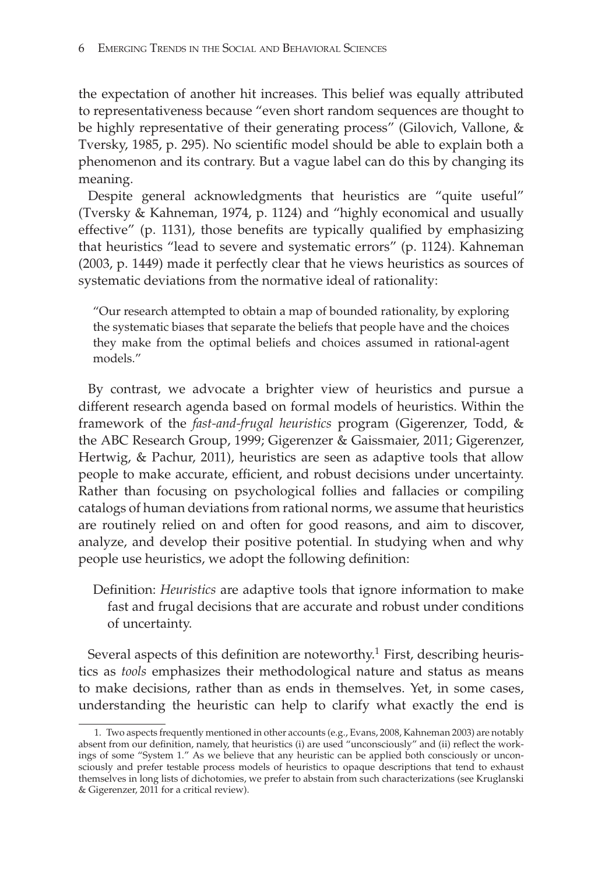the expectation of another hit increases. This belief was equally attributed to representativeness because "even short random sequences are thought to be highly representative of their generating process" (Gilovich, Vallone, & Tversky, 1985, p. 295). No scientific model should be able to explain both a phenomenon and its contrary. But a vague label can do this by changing its meaning.

Despite general acknowledgments that heuristics are "quite useful" (Tversky & Kahneman, 1974, p. 1124) and "highly economical and usually effective" (p. 1131), those benefits are typically qualified by emphasizing that heuristics "lead to severe and systematic errors" (p. 1124). Kahneman (2003, p. 1449) made it perfectly clear that he views heuristics as sources of systematic deviations from the normative ideal of rationality:

"Our research attempted to obtain a map of bounded rationality, by exploring the systematic biases that separate the beliefs that people have and the choices they make from the optimal beliefs and choices assumed in rational-agent models."

By contrast, we advocate a brighter view of heuristics and pursue a different research agenda based on formal models of heuristics. Within the framework of the *fast-and-frugal heuristics* program (Gigerenzer, Todd, & the ABC Research Group, 1999; Gigerenzer & Gaissmaier, 2011; Gigerenzer, Hertwig, & Pachur, 2011), heuristics are seen as adaptive tools that allow people to make accurate, efficient, and robust decisions under uncertainty. Rather than focusing on psychological follies and fallacies or compiling catalogs of human deviations from rational norms, we assume that heuristics are routinely relied on and often for good reasons, and aim to discover, analyze, and develop their positive potential. In studying when and why people use heuristics, we adopt the following definition:

Defnition: *Heuristics* are adaptive tools that ignore information to make fast and frugal decisions that are accurate and robust under conditions of uncertainty.

Several aspects of this definition are noteworthy.<sup>1</sup> First, describing heuristics as *tools* emphasizes their methodological nature and status as means to make decisions, rather than as ends in themselves. Yet, in some cases, understanding the heuristic can help to clarify what exactly the end is

<sup>1.</sup> Two aspects frequently mentioned in other accounts (e.g., Evans, 2008, Kahneman 2003) are notably absent from our defnition, namely, that heuristics (i) are used "unconsciously" and (ii) refect the workings of some "System 1." As we believe that any heuristic can be applied both consciously or unconsciously and prefer testable process models of heuristics to opaque descriptions that tend to exhaust themselves in long lists of dichotomies, we prefer to abstain from such characterizations (see Kruglanski & Gigerenzer, 2011 for a critical review).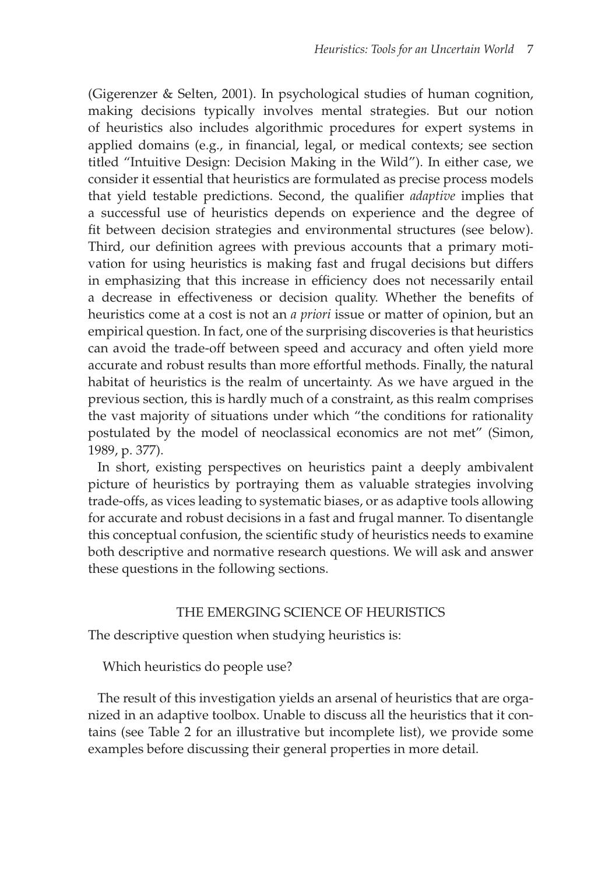(Gigerenzer & Selten, 2001). In psychological studies of human cognition, making decisions typically involves mental strategies. But our notion of heuristics also includes algorithmic procedures for expert systems in applied domains (e.g., in fnancial, legal, or medical contexts; see section titled "Intuitive Design: Decision Making in the Wild"). In either case, we consider it essential that heuristics are formulated as precise process models that yield testable predictions. Second, the qualifier *adaptive* implies that a successful use of heuristics depends on experience and the degree of fit between decision strategies and environmental structures (see below). Third, our definition agrees with previous accounts that a primary motivation for using heuristics is making fast and frugal decisions but differs in emphasizing that this increase in efficiency does not necessarily entail a decrease in effectiveness or decision quality. Whether the benefits of heuristics come at a cost is not an *a priori* issue or matter of opinion, but an empirical question. In fact, one of the surprising discoveries is that heuristics can avoid the trade-off between speed and accuracy and often yield more accurate and robust results than more effortful methods. Finally, the natural habitat of heuristics is the realm of uncertainty. As we have argued in the previous section, this is hardly much of a constraint, as this realm comprises the vast majority of situations under which "the conditions for rationality postulated by the model of neoclassical economics are not met" (Simon, 1989, p. 377).

In short, existing perspectives on heuristics paint a deeply ambivalent picture of heuristics by portraying them as valuable strategies involving trade-offs, as vices leading to systematic biases, or as adaptive tools allowing for accurate and robust decisions in a fast and frugal manner. To disentangle this conceptual confusion, the scientific study of heuristics needs to examine both descriptive and normative research questions. We will ask and answer these questions in the following sections.

### THE EMERGING SCIENCE OF HEURISTICS

The descriptive question when studying heuristics is:

Which heuristics do people use?

The result of this investigation yields an arsenal of heuristics that are organized in an adaptive toolbox. Unable to discuss all the heuristics that it contains (see Table 2 for an illustrative but incomplete list), we provide some examples before discussing their general properties in more detail.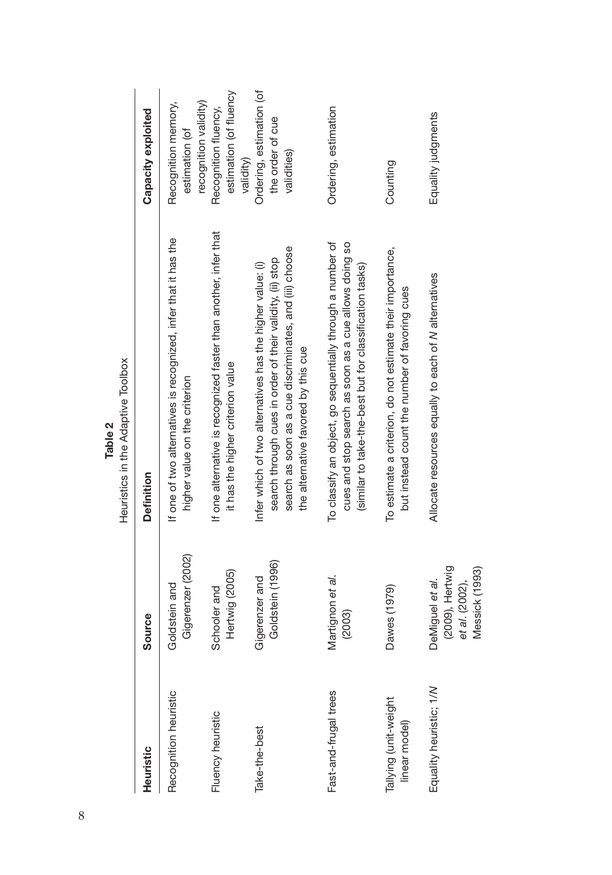| Heuristic                              | Source                                                                 | <b>Definition</b>                                                                                                                                                                                                        | Capacity exploited                                             |
|----------------------------------------|------------------------------------------------------------------------|--------------------------------------------------------------------------------------------------------------------------------------------------------------------------------------------------------------------------|----------------------------------------------------------------|
| Recognition heuristic                  | Gigerenzer (2002)<br>Goldstein and                                     | If one of two alternatives is recognized, infer that it has the<br>higher value on the criterion                                                                                                                         | recognition validity)<br>Recognition memory,<br>estimation (of |
| Fluency heuristic                      | Hertwig (2005)<br>Schooler and                                         | If one alternative is recognized faster than another, infer that<br>it has the higher criterion value                                                                                                                    | estimation (of fluency<br>Recognition fluency,<br>validity)    |
| Take-the-best                          | Goldstein (1996)<br>Gigerenzer and                                     | search as soon as a cue discriminates, and (iii) choose<br>search through cues in order of their validity, (ii) stop<br>Infer which of two alternatives has the higher value: (i)<br>the alternative favored by this cue | Ordering, estimation (of<br>the order of cue<br>validities)    |
| Fast-and-frugal trees                  | Martignon et al.<br>(2003)                                             | To classify an object, go sequentially through a number of<br>cues and stop search as soon as a cue allows doing so<br>(similar to take-the-best but for classification tasks)                                           | Ordering, estimation                                           |
| Tallying (unit-weight<br>linear model) | Dawes (1979)                                                           | To estimate a criterion, do not estimate their importance,<br>but instead count the number of favoring cues                                                                                                              | Counting                                                       |
| Equality heuristic; 1/N                | (2009), Hertwig<br>Messick (1993)<br>et al. (2002),<br>DeMiguel et al. | Allocate resources equally to each of N alternatives                                                                                                                                                                     | Equality judgments                                             |

Table 2<br>Heuristics in the Adaptive Toolbox Heuristics in the Adaptive Toolbox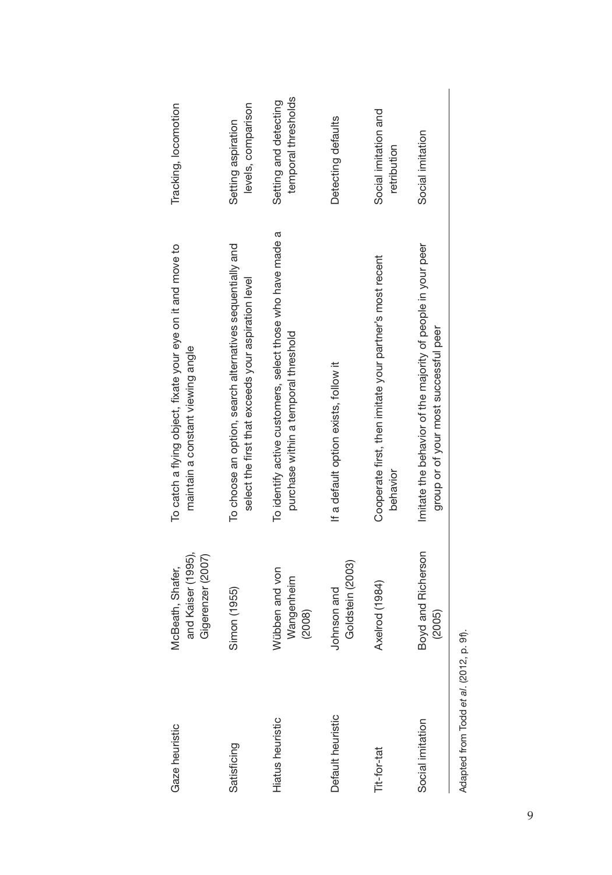| Gaze heuristic                          | and Kaiser (1995),<br>Gigerenzer (2007)<br>McBeath, Shafer, | To catch a flying object, fixate your eye on it and move to<br>maintain a constant viewing angle                 | Tracking, locomotion                         |
|-----------------------------------------|-------------------------------------------------------------|------------------------------------------------------------------------------------------------------------------|----------------------------------------------|
| Satisficing                             | Simon (1955)                                                | To choose an option, search alternatives sequentially and<br>select the first that exceeds your aspiration level | levels, comparison<br>Setting aspiration     |
| <b>Hiatus</b> heuristic                 | Wübben and von<br>Wangenheim<br>(2008)                      | To identify active customers, select those who have made a<br>purchase within a temporal threshold               | temporal thresholds<br>Setting and detecting |
| Default heuristic                       | Goldstein (2003)<br>Johnson and                             | If a default option exists, follow it                                                                            | Detecting defaults                           |
| Tit-for-tat                             | Axelrod (1984)                                              | Cooperate first, then imitate your partner's most recent<br>behavior                                             | Social imitation and<br>retribution          |
| Social imitation                        | and Richerson<br>(2005)<br>Boyd                             | Imitate the behavior of the majority of people in your peer<br>group or of your most successful peer             | Social imitation                             |
| Adapted from Todd et al. (2012, p. 9f). |                                                             |                                                                                                                  |                                              |

| ਨ੍ਹ    |
|--------|
| ø      |
| ś      |
| ಹ<br>ă |
|        |
|        |
|        |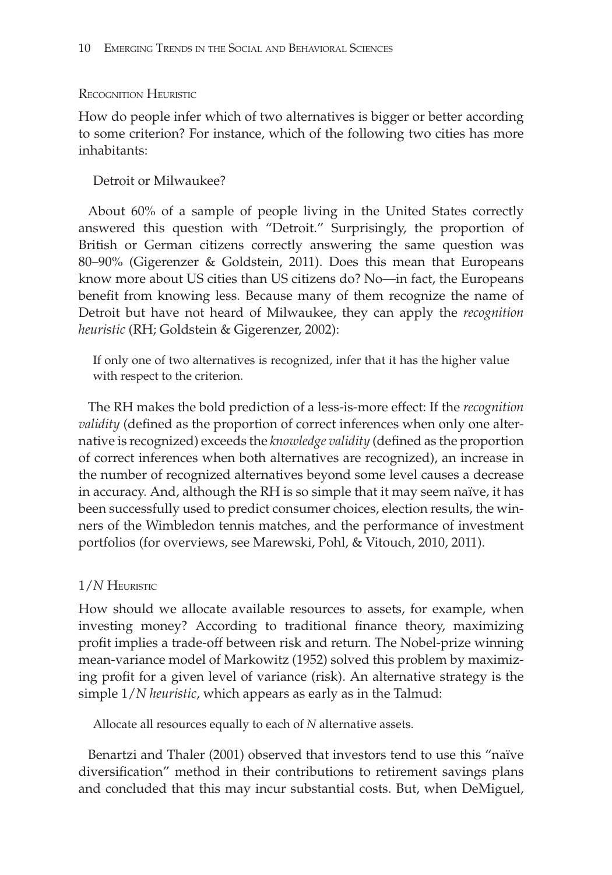# RECOGNITION HEURISTIC

How do people infer which of two alternatives is bigger or better according to some criterion? For instance, which of the following two cities has more inhabitants:

Detroit or Milwaukee?

About 60% of a sample of people living in the United States correctly answered this question with "Detroit." Surprisingly, the proportion of British or German citizens correctly answering the same question was 80–90% (Gigerenzer & Goldstein, 2011). Does this mean that Europeans know more about US cities than US citizens do? No—in fact, the Europeans benefit from knowing less. Because many of them recognize the name of Detroit but have not heard of Milwaukee, they can apply the *recognition heuristic* (RH; Goldstein & Gigerenzer, 2002):

If only one of two alternatives is recognized, infer that it has the higher value with respect to the criterion.

The RH makes the bold prediction of a less-is-more effect: If the *recognition validity* (defined as the proportion of correct inferences when only one alternative is recognized) exceeds the *knowledge validity* (defned as the proportion of correct inferences when both alternatives are recognized), an increase in the number of recognized alternatives beyond some level causes a decrease in accuracy. And, although the RH is so simple that it may seem naïve, it has been successfully used to predict consumer choices, election results, the winners of the Wimbledon tennis matches, and the performance of investment portfolios (for overviews, see Marewski, Pohl, & Vitouch, 2010, 2011).

# 1/*N* HEURISTIC

How should we allocate available resources to assets, for example, when investing money? According to traditional fnance theory, maximizing profit implies a trade-off between risk and return. The Nobel-prize winning mean-variance model of Markowitz (1952) solved this problem by maximizing profit for a given level of variance (risk). An alternative strategy is the simple 1/*N heuristic*, which appears as early as in the Talmud:

Allocate all resources equally to each of *N* alternative assets.

Benartzi and Thaler (2001) observed that investors tend to use this "naïve diversifcation" method in their contributions to retirement savings plans and concluded that this may incur substantial costs. But, when DeMiguel,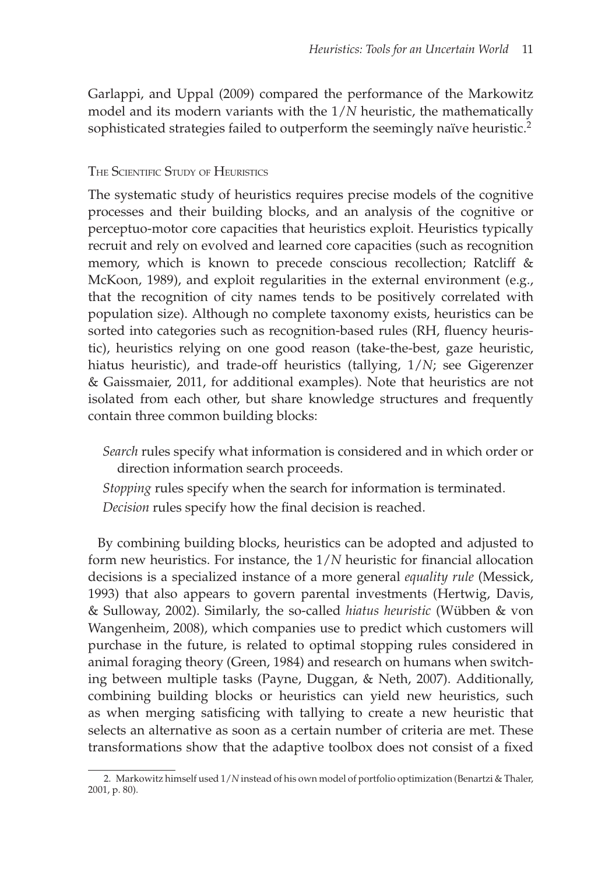Garlappi, and Uppal (2009) compared the performance of the Markowitz model and its modern variants with the 1/*N* heuristic, the mathematically sophisticated strategies failed to outperform the seemingly naïve heuristic.<sup>2</sup>

# THE SCIENTIFIC STUDY OF HEURISTICS

The systematic study of heuristics requires precise models of the cognitive processes and their building blocks, and an analysis of the cognitive or perceptuo-motor core capacities that heuristics exploit. Heuristics typically recruit and rely on evolved and learned core capacities (such as recognition memory, which is known to precede conscious recollection; Ratcliff & McKoon, 1989), and exploit regularities in the external environment (e.g., that the recognition of city names tends to be positively correlated with population size). Although no complete taxonomy exists, heuristics can be sorted into categories such as recognition-based rules (RH, fuency heuristic), heuristics relying on one good reason (take-the-best, gaze heuristic, hiatus heuristic), and trade-off heuristics (tallying, 1/*N*; see Gigerenzer & Gaissmaier, 2011, for additional examples). Note that heuristics are not isolated from each other, but share knowledge structures and frequently contain three common building blocks:

*Search* rules specify what information is considered and in which order or direction information search proceeds.

*Stopping* rules specify when the search for information is terminated.

*Decision* rules specify how the fnal decision is reached.

By combining building blocks, heuristics can be adopted and adjusted to form new heuristics. For instance, the 1/*N* heuristic for fnancial allocation decisions is a specialized instance of a more general *equality rule* (Messick, 1993) that also appears to govern parental investments (Hertwig, Davis, & Sulloway, 2002). Similarly, the so-called *hiatus heuristic* (Wübben & von Wangenheim, 2008), which companies use to predict which customers will purchase in the future, is related to optimal stopping rules considered in animal foraging theory (Green, 1984) and research on humans when switching between multiple tasks (Payne, Duggan, & Neth, 2007). Additionally, combining building blocks or heuristics can yield new heuristics, such as when merging satisficing with tallying to create a new heuristic that selects an alternative as soon as a certain number of criteria are met. These transformations show that the adaptive toolbox does not consist of a fxed

<sup>2.</sup> Markowitz himself used 1/*N* instead of his own model of portfolio optimization (Benartzi & Thaler, 2001, p. 80).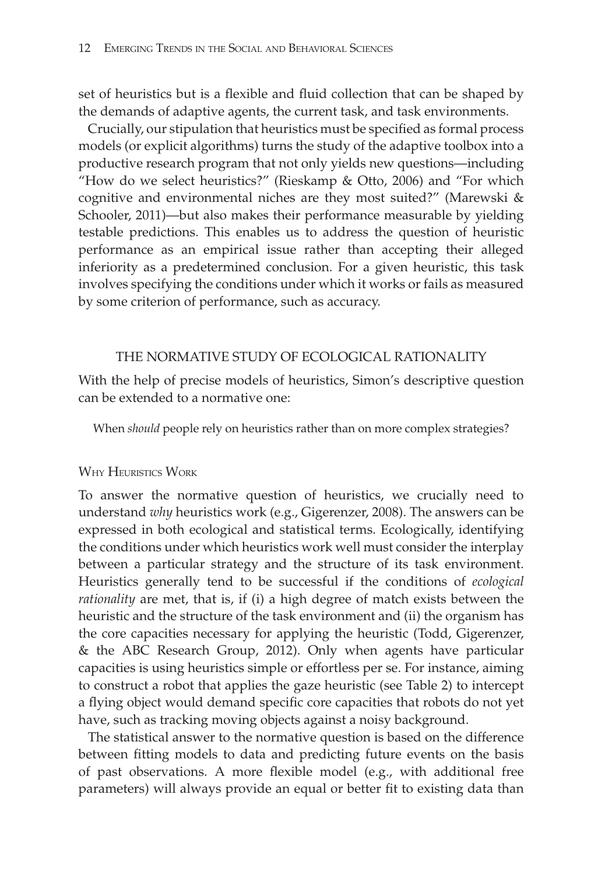set of heuristics but is a flexible and fluid collection that can be shaped by the demands of adaptive agents, the current task, and task environments.

Crucially, our stipulation that heuristics must be specifed as formal process models (or explicit algorithms) turns the study of the adaptive toolbox into a productive research program that not only yields new questions—including "How do we select heuristics?" (Rieskamp & Otto, 2006) and "For which cognitive and environmental niches are they most suited?" (Marewski & Schooler, 2011)—but also makes their performance measurable by yielding testable predictions. This enables us to address the question of heuristic performance as an empirical issue rather than accepting their alleged inferiority as a predetermined conclusion. For a given heuristic, this task involves specifying the conditions under which it works or fails as measured by some criterion of performance, such as accuracy.

## THE NORMATIVE STUDY OF ECOLOGICAL RATIONALITY

With the help of precise models of heuristics, Simon's descriptive question can be extended to a normative one:

When *should* people rely on heuristics rather than on more complex strategies?

## WHY HEURISTICS WORK

To answer the normative question of heuristics, we crucially need to understand *why* heuristics work (e.g., Gigerenzer, 2008). The answers can be expressed in both ecological and statistical terms. Ecologically, identifying the conditions under which heuristics work well must consider the interplay between a particular strategy and the structure of its task environment. Heuristics generally tend to be successful if the conditions of *ecological rationality* are met, that is, if (i) a high degree of match exists between the heuristic and the structure of the task environment and (ii) the organism has the core capacities necessary for applying the heuristic (Todd, Gigerenzer, & the ABC Research Group, 2012). Only when agents have particular capacities is using heuristics simple or effortless per se. For instance, aiming to construct a robot that applies the gaze heuristic (see Table 2) to intercept a flying object would demand specific core capacities that robots do not yet have, such as tracking moving objects against a noisy background.

The statistical answer to the normative question is based on the difference between fitting models to data and predicting future events on the basis of past observations. A more fexible model (e.g., with additional free parameters) will always provide an equal or better fit to existing data than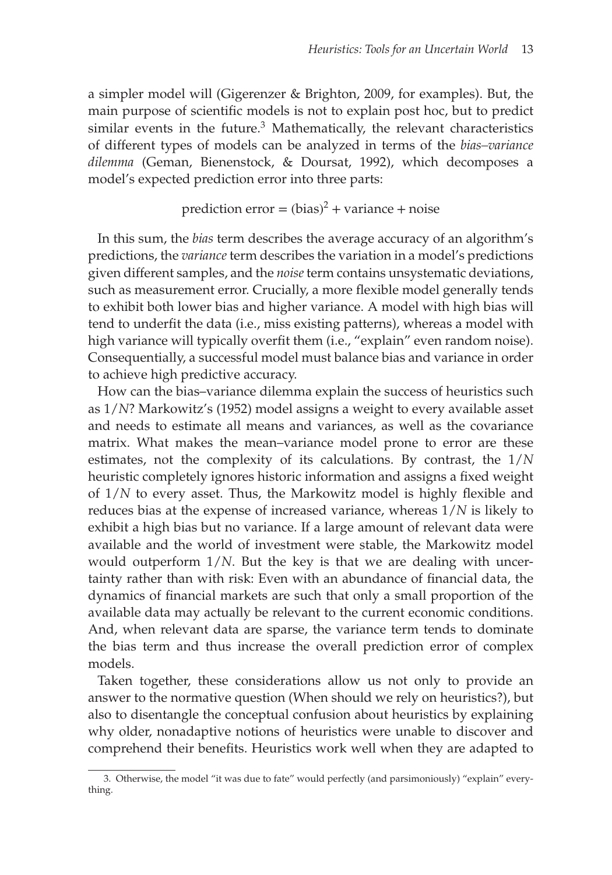a simpler model will (Gigerenzer & Brighton, 2009, for examples). But, the main purpose of scientific models is not to explain post hoc, but to predict similar events in the future. $3$  Mathematically, the relevant characteristics of different types of models can be analyzed in terms of the *bias–variance dilemma* (Geman, Bienenstock, & Doursat, 1992), which decomposes a model's expected prediction error into three parts:

# prediction error =  $(bias)^2$  + variance + noise

In this sum, the *bias* term describes the average accuracy of an algorithm's predictions, the *variance* term describes the variation in a model's predictions given different samples, and the *noise*term contains unsystematic deviations, such as measurement error. Crucially, a more flexible model generally tends to exhibit both lower bias and higher variance. A model with high bias will tend to underfit the data (i.e., miss existing patterns), whereas a model with high variance will typically overfit them (i.e., "explain" even random noise). Consequentially, a successful model must balance bias and variance in order to achieve high predictive accuracy.

How can the bias–variance dilemma explain the success of heuristics such as 1/*N*? Markowitz's (1952) model assigns a weight to every available asset and needs to estimate all means and variances, as well as the covariance matrix. What makes the mean–variance model prone to error are these estimates, not the complexity of its calculations. By contrast, the 1/*N* heuristic completely ignores historic information and assigns a fixed weight of 1/*N* to every asset. Thus, the Markowitz model is highly fexible and reduces bias at the expense of increased variance, whereas 1/*N* is likely to exhibit a high bias but no variance. If a large amount of relevant data were available and the world of investment were stable, the Markowitz model would outperform 1/*N*. But the key is that we are dealing with uncertainty rather than with risk: Even with an abundance of fnancial data, the dynamics of fnancial markets are such that only a small proportion of the available data may actually be relevant to the current economic conditions. And, when relevant data are sparse, the variance term tends to dominate the bias term and thus increase the overall prediction error of complex models.

Taken together, these considerations allow us not only to provide an answer to the normative question (When should we rely on heuristics?), but also to disentangle the conceptual confusion about heuristics by explaining why older, nonadaptive notions of heuristics were unable to discover and comprehend their benefts. Heuristics work well when they are adapted to

<sup>3.</sup> Otherwise, the model "it was due to fate" would perfectly (and parsimoniously) "explain" everything.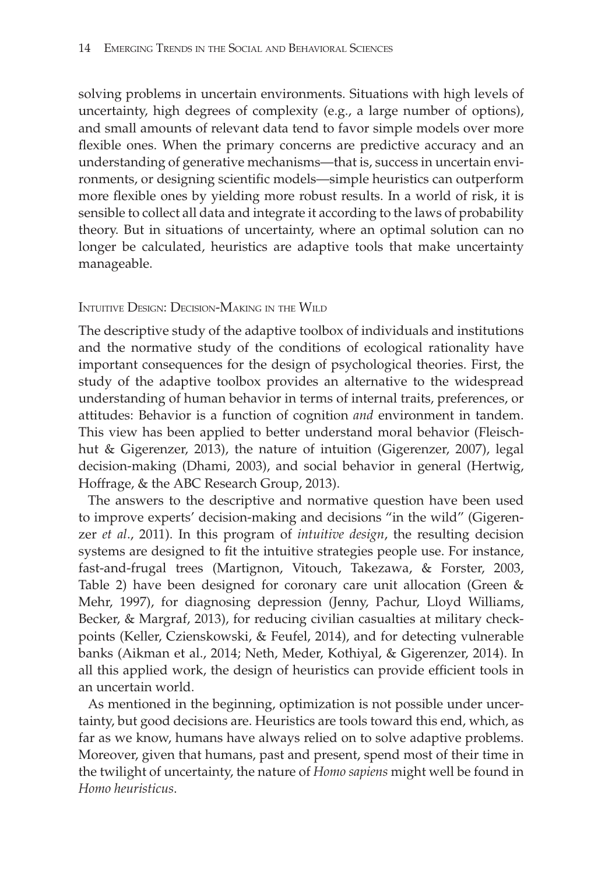solving problems in uncertain environments. Situations with high levels of uncertainty, high degrees of complexity (e.g., a large number of options), and small amounts of relevant data tend to favor simple models over more fexible ones. When the primary concerns are predictive accuracy and an understanding of generative mechanisms—that is, success in uncertain environments, or designing scientific models—simple heuristics can outperform more fexible ones by yielding more robust results. In a world of risk, it is sensible to collect all data and integrate it according to the laws of probability theory. But in situations of uncertainty, where an optimal solution can no longer be calculated, heuristics are adaptive tools that make uncertainty manageable.

# INTUITIVE DESIGN: DECISION-MAKING IN THE WILD

The descriptive study of the adaptive toolbox of individuals and institutions and the normative study of the conditions of ecological rationality have important consequences for the design of psychological theories. First, the study of the adaptive toolbox provides an alternative to the widespread understanding of human behavior in terms of internal traits, preferences, or attitudes: Behavior is a function of cognition *and* environment in tandem. This view has been applied to better understand moral behavior (Fleischhut & Gigerenzer, 2013), the nature of intuition (Gigerenzer, 2007), legal decision-making (Dhami, 2003), and social behavior in general (Hertwig, Hoffrage, & the ABC Research Group, 2013).

The answers to the descriptive and normative question have been used to improve experts' decision-making and decisions "in the wild" (Gigerenzer *et al*., 2011). In this program of *intuitive design*, the resulting decision systems are designed to fit the intuitive strategies people use. For instance, fast-and-frugal trees (Martignon, Vitouch, Takezawa, & Forster, 2003, Table 2) have been designed for coronary care unit allocation (Green & Mehr, 1997), for diagnosing depression (Jenny, Pachur, Lloyd Williams, Becker, & Margraf, 2013), for reducing civilian casualties at military checkpoints (Keller, Czienskowski, & Feufel, 2014), and for detecting vulnerable banks (Aikman et al., 2014; Neth, Meder, Kothiyal, & Gigerenzer, 2014). In all this applied work, the design of heuristics can provide efficient tools in an uncertain world.

As mentioned in the beginning, optimization is not possible under uncertainty, but good decisions are. Heuristics are tools toward this end, which, as far as we know, humans have always relied on to solve adaptive problems. Moreover, given that humans, past and present, spend most of their time in the twilight of uncertainty, the nature of *Homo sapiens* might well be found in *Homo heuristicus*.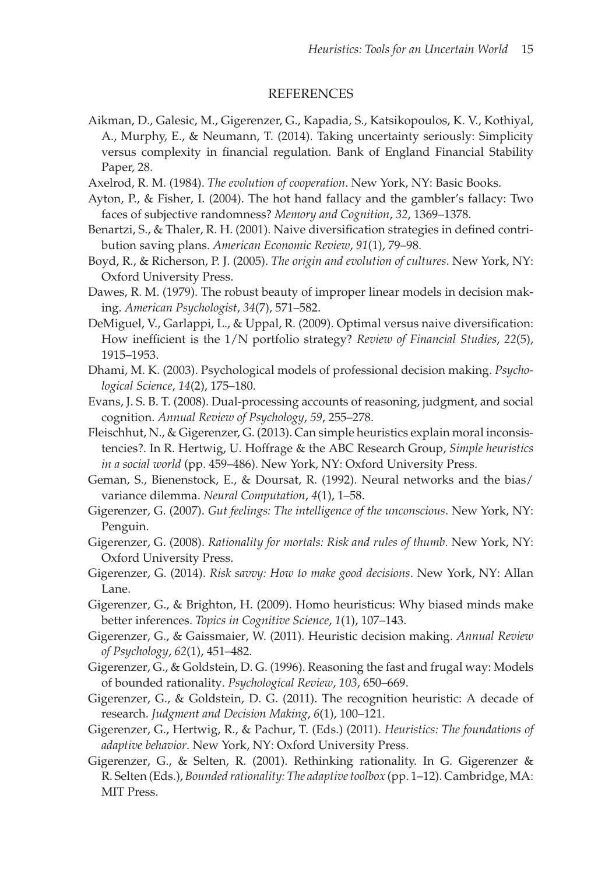#### REFERENCES

- Aikman, D., Galesic, M., Gigerenzer, G., Kapadia, S., Katsikopoulos, K. V., Kothiyal, A., Murphy, E., & Neumann, T. (2014). Taking uncertainty seriously: Simplicity versus complexity in fnancial regulation. Bank of England Financial Stability Paper, 28.
- Axelrod, R. M. (1984). *The evolution of cooperation*. New York, NY: Basic Books.
- Ayton, P., & Fisher, I. (2004). The hot hand fallacy and the gambler's fallacy: Two faces of subjective randomness? *Memory and Cognition*, *32*, 1369–1378.
- Benartzi, S., & Thaler, R. H. (2001). Naive diversification strategies in defined contribution saving plans. *American Economic Review*, *91*(1), 79–98.
- Boyd, R., & Richerson, P. J. (2005). *The origin and evolution of cultures*. New York, NY: Oxford University Press.
- Dawes, R. M. (1979). The robust beauty of improper linear models in decision making. *American Psychologist*, *34*(7), 571–582.
- DeMiguel, V., Garlappi, L., & Uppal, R. (2009). Optimal versus naive diversification: How inefficient is the 1/N portfolio strategy? *Review of Financial Studies*, 22(5), 1915–1953.
- Dhami, M. K. (2003). Psychological models of professional decision making. *Psychological Science*, *14*(2), 175–180.
- Evans, J. S. B. T. (2008). Dual-processing accounts of reasoning, judgment, and social cognition. *Annual Review of Psychology*, *59*, 255–278.
- Fleischhut, N., & Gigerenzer, G. (2013). Can simple heuristics explain moral inconsistencies?. In R. Hertwig, U. Hoffrage & the ABC Research Group, *Simple heuristics in a social world* (pp. 459–486). New York, NY: Oxford University Press.
- Geman, S., Bienenstock, E., & Doursat, R. (1992). Neural networks and the bias/ variance dilemma. *Neural Computation*, *4*(1), 1–58.
- Gigerenzer, G. (2007). *Gut feelings: The intelligence of the unconscious*. New York, NY: Penguin.
- Gigerenzer, G. (2008). *Rationality for mortals: Risk and rules of thumb*. New York, NY: Oxford University Press.
- Gigerenzer, G. (2014). *Risk savvy: How to make good decisions*. New York, NY: Allan Lane.
- Gigerenzer, G., & Brighton, H. (2009). Homo heuristicus: Why biased minds make better inferences. *Topics in Cognitive Science*, *1*(1), 107–143.
- Gigerenzer, G., & Gaissmaier, W. (2011). Heuristic decision making. *Annual Review of Psychology*, *62*(1), 451–482.
- Gigerenzer, G., & Goldstein, D. G. (1996). Reasoning the fast and frugal way: Models of bounded rationality. *Psychological Review*, *103*, 650–669.
- Gigerenzer, G., & Goldstein, D. G. (2011). The recognition heuristic: A decade of research. *Judgment and Decision Making*, *6*(1), 100–121.
- Gigerenzer, G., Hertwig, R., & Pachur, T. (Eds.) (2011). *Heuristics: The foundations of adaptive behavior*. New York, NY: Oxford University Press.
- Gigerenzer, G., & Selten, R. (2001). Rethinking rationality. In G. Gigerenzer & R. Selten (Eds.), *Bounded rationality: The adaptive toolbox* (pp. 1–12). Cambridge, MA: MIT Press.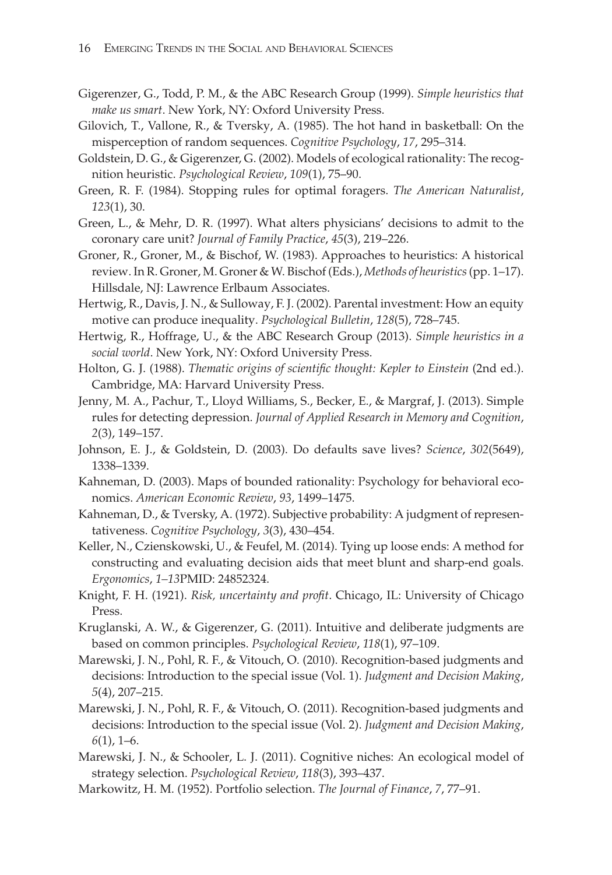- Gigerenzer, G., Todd, P. M., & the ABC Research Group (1999). *Simple heuristics that make us smart*. New York, NY: Oxford University Press.
- Gilovich, T., Vallone, R., & Tversky, A. (1985). The hot hand in basketball: On the misperception of random sequences. *Cognitive Psychology*, *17*, 295–314.
- Goldstein, D. G., & Gigerenzer, G. (2002). Models of ecological rationality: The recognition heuristic. *Psychological Review*, *109*(1), 75–90.
- Green, R. F. (1984). Stopping rules for optimal foragers. *The American Naturalist*, *123*(1), 30.
- Green, L., & Mehr, D. R. (1997). What alters physicians' decisions to admit to the coronary care unit? *Journal of Family Practice*, *45*(3), 219–226.
- Groner, R., Groner, M., & Bischof, W. (1983). Approaches to heuristics: A historical review. In R. Groner, M. Groner & W. Bischof (Eds.), *Methods of heuristics*(pp. 1–17). Hillsdale, NJ: Lawrence Erlbaum Associates.
- Hertwig, R., Davis, J. N., & Sulloway, F. J. (2002). Parental investment: How an equity motive can produce inequality. *Psychological Bulletin*, *128*(5), 728–745.
- Hertwig, R., Hoffrage, U., & the ABC Research Group (2013). *Simple heuristics in a social world*. New York, NY: Oxford University Press.
- Holton, G. J. (1988). *Thematic origins of scientifc thought: Kepler to Einstein* (2nd ed.). Cambridge, MA: Harvard University Press.
- Jenny, M. A., Pachur, T., Lloyd Williams, S., Becker, E., & Margraf, J. (2013). Simple rules for detecting depression. *Journal of Applied Research in Memory and Cognition*, *2*(3), 149–157.
- Johnson, E. J., & Goldstein, D. (2003). Do defaults save lives? *Science*, *302*(5649), 1338–1339.
- Kahneman, D. (2003). Maps of bounded rationality: Psychology for behavioral economics. *American Economic Review*, *93*, 1499–1475.
- Kahneman, D., & Tversky, A. (1972). Subjective probability: A judgment of representativeness. *Cognitive Psychology*, *3*(3), 430–454.
- Keller, N., Czienskowski, U., & Feufel, M. (2014). Tying up loose ends: A method for constructing and evaluating decision aids that meet blunt and sharp-end goals. *Ergonomics*, *1–13*PMID: 24852324.
- Knight, F. H. (1921). *Risk, uncertainty and proft*. Chicago, IL: University of Chicago Press.
- Kruglanski, A. W., & Gigerenzer, G. (2011). Intuitive and deliberate judgments are based on common principles. *Psychological Review*, *118*(1), 97–109.
- Marewski, J. N., Pohl, R. F., & Vitouch, O. (2010). Recognition-based judgments and decisions: Introduction to the special issue (Vol. 1). *Judgment and Decision Making*, *5*(4), 207–215.
- Marewski, J. N., Pohl, R. F., & Vitouch, O. (2011). Recognition-based judgments and decisions: Introduction to the special issue (Vol. 2). *Judgment and Decision Making*, *6*(1), 1–6.
- Marewski, J. N., & Schooler, L. J. (2011). Cognitive niches: An ecological model of strategy selection. *Psychological Review*, *118*(3), 393–437.
- Markowitz, H. M. (1952). Portfolio selection. *The Journal of Finance*, *7*, 77–91.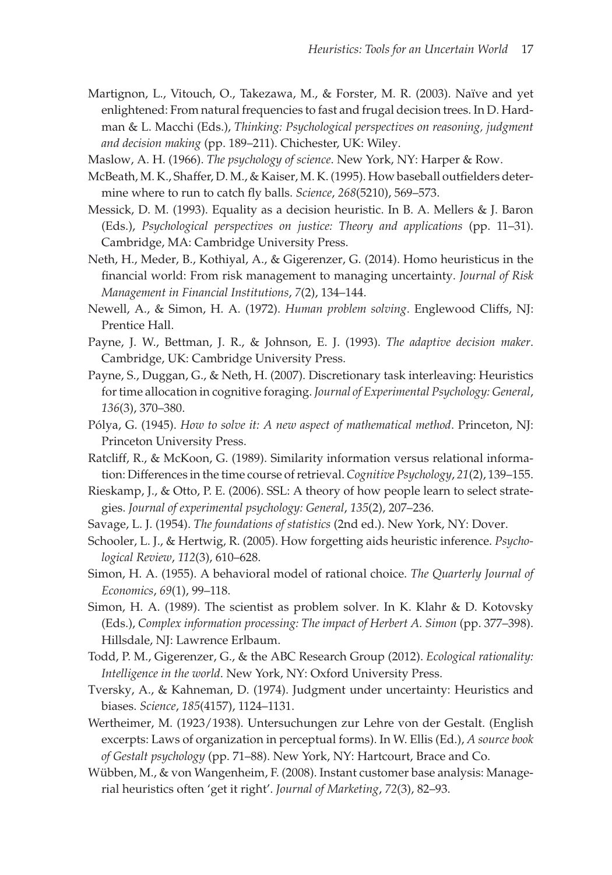- Martignon, L., Vitouch, O., Takezawa, M., & Forster, M. R. (2003). Naïve and yet enlightened: From natural frequencies to fast and frugal decision trees. In D. Hardman & L. Macchi (Eds.), *Thinking: Psychological perspectives on reasoning, judgment and decision making* (pp. 189–211). Chichester, UK: Wiley.
- Maslow, A. H. (1966). *The psychology of science*. New York, NY: Harper & Row.
- McBeath, M. K., Shaffer, D. M., & Kaiser, M. K. (1995). How baseball outfelders determine where to run to catch fy balls. *Science*, *268*(5210), 569–573.
- Messick, D. M. (1993). Equality as a decision heuristic. In B. A. Mellers & J. Baron (Eds.), *Psychological perspectives on justice: Theory and applications* (pp. 11–31). Cambridge, MA: Cambridge University Press.
- Neth, H., Meder, B., Kothiyal, A., & Gigerenzer, G. (2014). Homo heuristicus in the fnancial world: From risk management to managing uncertainty. *Journal of Risk Management in Financial Institutions*, *7*(2), 134–144.
- Newell, A., & Simon, H. A. (1972). *Human problem solving*. Englewood Cliffs, NJ: Prentice Hall.
- Payne, J. W., Bettman, J. R., & Johnson, E. J. (1993). *The adaptive decision maker*. Cambridge, UK: Cambridge University Press.
- Payne, S., Duggan, G., & Neth, H. (2007). Discretionary task interleaving: Heuristics for time allocation in cognitive foraging. *Journal of Experimental Psychology: General*, *136*(3), 370–380.
- Pólya, G. (1945). *How to solve it: A new aspect of mathematical method*. Princeton, NJ: Princeton University Press.
- Ratcliff, R., & McKoon, G. (1989). Similarity information versus relational information: Differences in the time course of retrieval. *Cognitive Psychology*, *21*(2), 139–155.
- Rieskamp, J., & Otto, P. E. (2006). SSL: A theory of how people learn to select strategies. *Journal of experimental psychology: General*, *135*(2), 207–236.
- Savage, L. J. (1954). *The foundations of statistics* (2nd ed.). New York, NY: Dover.
- Schooler, L. J., & Hertwig, R. (2005). How forgetting aids heuristic inference. *Psychological Review*, *112*(3), 610–628.
- Simon, H. A. (1955). A behavioral model of rational choice. *The Quarterly Journal of Economics*, *69*(1), 99–118.
- Simon, H. A. (1989). The scientist as problem solver. In K. Klahr & D. Kotovsky (Eds.), *Complex information processing: The impact of Herbert A. Simon* (pp. 377–398). Hillsdale, NJ: Lawrence Erlbaum.
- Todd, P. M., Gigerenzer, G., & the ABC Research Group (2012). *Ecological rationality: Intelligence in the world*. New York, NY: Oxford University Press.
- Tversky, A., & Kahneman, D. (1974). Judgment under uncertainty: Heuristics and biases. *Science*, *185*(4157), 1124–1131.
- Wertheimer, M. (1923/1938). Untersuchungen zur Lehre von der Gestalt. (English excerpts: Laws of organization in perceptual forms). In W. Ellis (Ed.), *A source book of Gestalt psychology* (pp. 71–88). New York, NY: Hartcourt, Brace and Co.
- Wübben, M., & von Wangenheim, F. (2008). Instant customer base analysis: Managerial heuristics often 'get it right'. *Journal of Marketing*, *72*(3), 82–93.